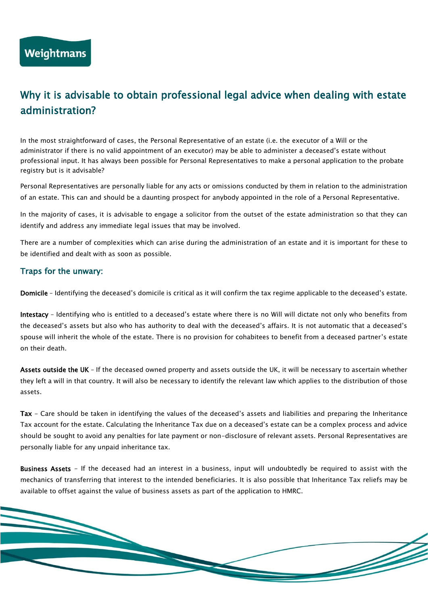## Why it is advisable to obtain professional legal advice when dealing with estate administration?

In the most straightforward of cases, the Personal Representative of an estate (i.e. the executor of a Will or the administrator if there is no valid appointment of an executor) may be able to administer a deceased's estate without professional input. It has always been possible for Personal Representatives to make a personal application to the probate registry but is it advisable?

Personal Representatives are personally liable for any acts or omissions conducted by them in relation to the administration of an estate. This can and should be a daunting prospect for anybody appointed in the role of a Personal Representative.

In the majority of cases, it is advisable to engage a solicitor from the outset of the estate administration so that they can identify and address any immediate legal issues that may be involved.

There are a number of complexities which can arise during the administration of an estate and it is important for these to be identified and dealt with as soon as possible.

## Traps for the unwary:

Domicile – Identifying the deceased's domicile is critical as it will confirm the tax regime applicable to the deceased's estate.

Intestacy – Identifying who is entitled to a deceased's estate where there is no Will will dictate not only who benefits from the deceased's assets but also who has authority to deal with the deceased's affairs. It is not automatic that a deceased's spouse will inherit the whole of the estate. There is no provision for cohabitees to benefit from a deceased partner's estate on their death.

Assets outside the UK - If the deceased owned property and assets outside the UK, it will be necessary to ascertain whether they left a will in that country. It will also be necessary to identify the relevant law which applies to the distribution of those assets.

Tax - Care should be taken in identifying the values of the deceased's assets and liabilities and preparing the Inheritance Tax account for the estate. Calculating the Inheritance Tax due on a deceased's estate can be a complex process and advice should be sought to avoid any penalties for late payment or non-disclosure of relevant assets. Personal Representatives are personally liable for any unpaid inheritance tax.

Business Assets - If the deceased had an interest in a business, input will undoubtedly be required to assist with the mechanics of transferring that interest to the intended beneficiaries. It is also possible that Inheritance Tax reliefs may be available to offset against the value of business assets as part of the application to HMRC.